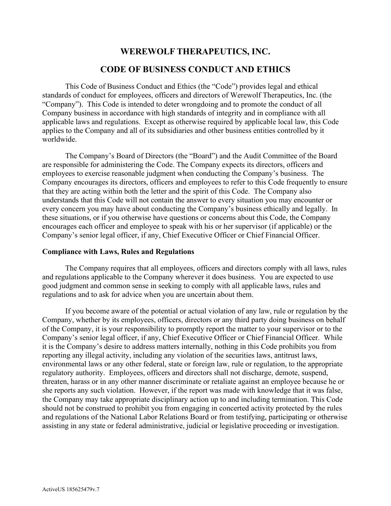# **WEREWOLF THERAPEUTICS, INC. CODE OF BUSINESS CONDUCT AND ETHICS**

This Code of Business Conduct and Ethics (the "Code") provides legal and ethical standards of conduct for employees, officers and directors of Werewolf Therapeutics, Inc. (the "Company"). This Code is intended to deter wrongdoing and to promote the conduct of all Company business in accordance with high standards of integrity and in compliance with all applicable laws and regulations. Except as otherwise required by applicable local law, this Code applies to the Company and all of its subsidiaries and other business entities controlled by it worldwide.

The Company's Board of Directors (the "Board") and the Audit Committee of the Board are responsible for administering the Code. The Company expects its directors, officers and employees to exercise reasonable judgment when conducting the Company's business. The Company encourages its directors, officers and employees to refer to this Code frequently to ensure that they are acting within both the letter and the spirit of this Code. The Company also understands that this Code will not contain the answer to every situation you may encounter or every concern you may have about conducting the Company's business ethically and legally. In these situations, or if you otherwise have questions or concerns about this Code, the Company encourages each officer and employee to speak with his or her supervisor (if applicable) or the Company's senior legal officer, if any, Chief Executive Officer or Chief Financial Officer.

#### **Compliance with Laws, Rules and Regulations**

The Company requires that all employees, officers and directors comply with all laws, rules and regulations applicable to the Company wherever it does business. You are expected to use good judgment and common sense in seeking to comply with all applicable laws, rules and regulations and to ask for advice when you are uncertain about them.

If you become aware of the potential or actual violation of any law, rule or regulation by the Company, whether by its employees, officers, directors or any third party doing business on behalf of the Company, it is your responsibility to promptly report the matter to your supervisor or to the Company's senior legal officer, if any, Chief Executive Officer or Chief Financial Officer. While it is the Company's desire to address matters internally, nothing in this Code prohibits you from reporting any illegal activity, including any violation of the securities laws, antitrust laws, environmental laws or any other federal, state or foreign law, rule or regulation, to the appropriate regulatory authority. Employees, officers and directors shall not discharge, demote, suspend, threaten, harass or in any other manner discriminate or retaliate against an employee because he or she reports any such violation. However, if the report was made with knowledge that it was false, the Company may take appropriate disciplinary action up to and including termination. This Code should not be construed to prohibit you from engaging in concerted activity protected by the rules and regulations of the National Labor Relations Board or from testifying, participating or otherwise assisting in any state or federal administrative, judicial or legislative proceeding or investigation.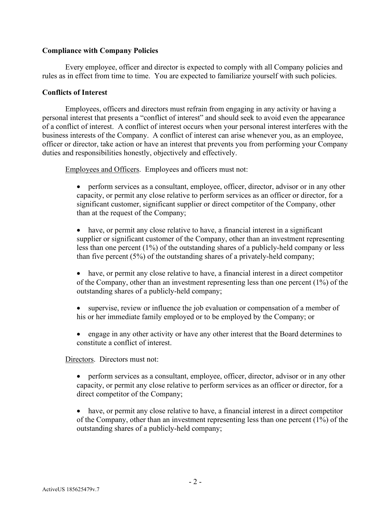# **Compliance with Company Policies**

Every employee, officer and director is expected to comply with all Company policies and rules as in effect from time to time. You are expected to familiarize yourself with such policies.

# **Conflicts of Interest**

Employees, officers and directors must refrain from engaging in any activity or having a personal interest that presents a "conflict of interest" and should seek to avoid even the appearance of a conflict of interest. A conflict of interest occurs when your personal interest interferes with the business interests of the Company. A conflict of interest can arise whenever you, as an employee, officer or director, take action or have an interest that prevents you from performing your Company duties and responsibilities honestly, objectively and effectively.

Employees and Officers. Employees and officers must not:

- perform services as a consultant, employee, officer, director, advisor or in any other capacity, or permit any close relative to perform services as an officer or director, for a significant customer, significant supplier or direct competitor of the Company, other than at the request of the Company;
- have, or permit any close relative to have, a financial interest in a significant supplier or significant customer of the Company, other than an investment representing less than one percent (1%) of the outstanding shares of a publicly-held company or less than five percent (5%) of the outstanding shares of a privately-held company;
- have, or permit any close relative to have, a financial interest in a direct competitor of the Company, other than an investment representing less than one percent (1%) of the outstanding shares of a publicly-held company;
- supervise, review or influence the job evaluation or compensation of a member of his or her immediate family employed or to be employed by the Company; or
- engage in any other activity or have any other interest that the Board determines to constitute a conflict of interest.

Directors. Directors must not:

- perform services as a consultant, employee, officer, director, advisor or in any other capacity, or permit any close relative to perform services as an officer or director, for a direct competitor of the Company;
- have, or permit any close relative to have, a financial interest in a direct competitor of the Company, other than an investment representing less than one percent (1%) of the outstanding shares of a publicly-held company;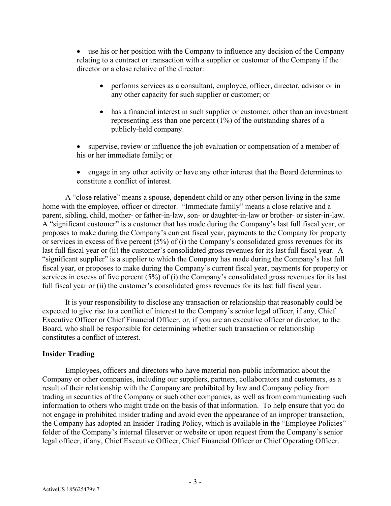use his or her position with the Company to influence any decision of the Company relating to a contract or transaction with a supplier or customer of the Company if the director or a close relative of the director:

- performs services as a consultant, employee, officer, director, advisor or in any other capacity for such supplier or customer; or
- has a financial interest in such supplier or customer, other than an investment representing less than one percent  $(1\%)$  of the outstanding shares of a publicly-held company.
- supervise, review or influence the job evaluation or compensation of a member of his or her immediate family; or
- engage in any other activity or have any other interest that the Board determines to constitute a conflict of interest.

A "close relative" means a spouse, dependent child or any other person living in the same home with the employee, officer or director. "Immediate family" means a close relative and a parent, sibling, child, mother- or father-in-law, son- or daughter-in-law or brother- or sister-in-law. A "significant customer" is a customer that has made during the Company's last full fiscal year, or proposes to make during the Company's current fiscal year, payments to the Company for property or services in excess of five percent (5%) of (i) the Company's consolidated gross revenues for its last full fiscal year or (ii) the customer's consolidated gross revenues for its last full fiscal year. A "significant supplier" is a supplier to which the Company has made during the Company's last full fiscal year, or proposes to make during the Company's current fiscal year, payments for property or services in excess of five percent (5%) of (i) the Company's consolidated gross revenues for its last full fiscal year or (ii) the customer's consolidated gross revenues for its last full fiscal year.

It is your responsibility to disclose any transaction or relationship that reasonably could be expected to give rise to a conflict of interest to the Company's senior legal officer, if any, Chief Executive Officer or Chief Financial Officer, or, if you are an executive officer or director, to the Board, who shall be responsible for determining whether such transaction or relationship constitutes a conflict of interest.

#### **Insider Trading**

Employees, officers and directors who have material non-public information about the Company or other companies, including our suppliers, partners, collaborators and customers, as a result of their relationship with the Company are prohibited by law and Company policy from trading in securities of the Company or such other companies, as well as from communicating such information to others who might trade on the basis of that information. To help ensure that you do not engage in prohibited insider trading and avoid even the appearance of an improper transaction, the Company has adopted an Insider Trading Policy, which is available in the "Employee Policies" folder of the Company's internal fileserver or website or upon request from the Company's senior legal officer, if any, Chief Executive Officer, Chief Financial Officer or Chief Operating Officer.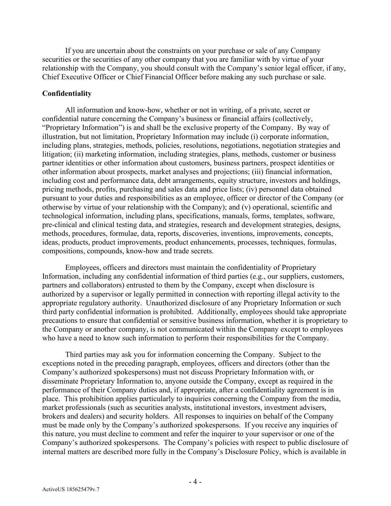If you are uncertain about the constraints on your purchase or sale of any Company securities or the securities of any other company that you are familiar with by virtue of your relationship with the Company, you should consult with the Company's senior legal officer, if any, Chief Executive Officer or Chief Financial Officer before making any such purchase or sale.

# **Confidentiality**

All information and know-how, whether or not in writing, of a private, secret or confidential nature concerning the Company's business or financial affairs (collectively, "Proprietary Information") is and shall be the exclusive property of the Company. By way of illustration, but not limitation, Proprietary Information may include (i) corporate information, including plans, strategies, methods, policies, resolutions, negotiations, negotiation strategies and litigation; (ii) marketing information, including strategies, plans, methods, customer or business partner identities or other information about customers, business partners, prospect identities or other information about prospects, market analyses and projections; (iii) financial information, including cost and performance data, debt arrangements, equity structure, investors and holdings, pricing methods, profits, purchasing and sales data and price lists; (iv) personnel data obtained pursuant to your duties and responsibilities as an employee, officer or director of the Company (or otherwise by virtue of your relationship with the Company); and (v) operational, scientific and technological information, including plans, specifications, manuals, forms, templates, software, pre-clinical and clinical testing data, and strategies, research and development strategies, designs, methods, procedures, formulae, data, reports, discoveries, inventions, improvements, concepts, ideas, products, product improvements, product enhancements, processes, techniques, formulas, compositions, compounds, know-how and trade secrets.

Employees, officers and directors must maintain the confidentiality of Proprietary Information, including any confidential information of third parties (e.g., our suppliers, customers, partners and collaborators) entrusted to them by the Company, except when disclosure is authorized by a supervisor or legally permitted in connection with reporting illegal activity to the appropriate regulatory authority. Unauthorized disclosure of any Proprietary Information or such third party confidential information is prohibited. Additionally, employees should take appropriate precautions to ensure that confidential or sensitive business information, whether it is proprietary to the Company or another company, is not communicated within the Company except to employees who have a need to know such information to perform their responsibilities for the Company.

Third parties may ask you for information concerning the Company. Subject to the exceptions noted in the preceding paragraph, employees, officers and directors (other than the Company's authorized spokespersons) must not discuss Proprietary Information with, or disseminate Proprietary Information to, anyone outside the Company, except as required in the performance of their Company duties and, if appropriate, after a confidentiality agreement is in place. This prohibition applies particularly to inquiries concerning the Company from the media, market professionals (such as securities analysts, institutional investors, investment advisers, brokers and dealers) and security holders. All responses to inquiries on behalf of the Company must be made only by the Company's authorized spokespersons. If you receive any inquiries of this nature, you must decline to comment and refer the inquirer to your supervisor or one of the Company's authorized spokespersons. The Company's policies with respect to public disclosure of internal matters are described more fully in the Company's Disclosure Policy, which is available in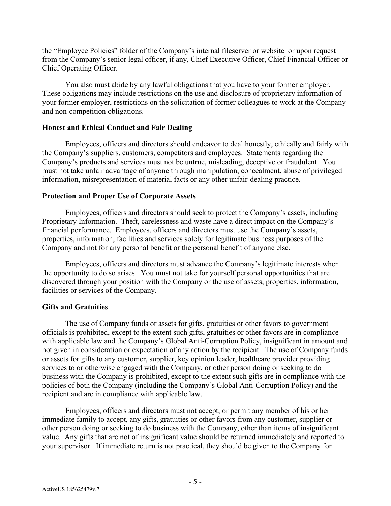the "Employee Policies" folder of the Company's internal fileserver or website or upon request from the Company's senior legal officer, if any, Chief Executive Officer, Chief Financial Officer or Chief Operating Officer.

You also must abide by any lawful obligations that you have to your former employer. These obligations may include restrictions on the use and disclosure of proprietary information of your former employer, restrictions on the solicitation of former colleagues to work at the Company and non-competition obligations.

#### **Honest and Ethical Conduct and Fair Dealing**

Employees, officers and directors should endeavor to deal honestly, ethically and fairly with the Company's suppliers, customers, competitors and employees. Statements regarding the Company's products and services must not be untrue, misleading, deceptive or fraudulent. You must not take unfair advantage of anyone through manipulation, concealment, abuse of privileged information, misrepresentation of material facts or any other unfair-dealing practice.

# **Protection and Proper Use of Corporate Assets**

Employees, officers and directors should seek to protect the Company's assets, including Proprietary Information. Theft, carelessness and waste have a direct impact on the Company's financial performance. Employees, officers and directors must use the Company's assets, properties, information, facilities and services solely for legitimate business purposes of the Company and not for any personal benefit or the personal benefit of anyone else.

Employees, officers and directors must advance the Company's legitimate interests when the opportunity to do so arises. You must not take for yourself personal opportunities that are discovered through your position with the Company or the use of assets, properties, information, facilities or services of the Company.

# **Gifts and Gratuities**

The use of Company funds or assets for gifts, gratuities or other favors to government officials is prohibited, except to the extent such gifts, gratuities or other favors are in compliance with applicable law and the Company's Global Anti-Corruption Policy, insignificant in amount and not given in consideration or expectation of any action by the recipient. The use of Company funds or assets for gifts to any customer, supplier, key opinion leader, healthcare provider providing services to or otherwise engaged with the Company, or other person doing or seeking to do business with the Company is prohibited, except to the extent such gifts are in compliance with the policies of both the Company (including the Company's Global Anti-Corruption Policy) and the recipient and are in compliance with applicable law.

Employees, officers and directors must not accept, or permit any member of his or her immediate family to accept, any gifts, gratuities or other favors from any customer, supplier or other person doing or seeking to do business with the Company, other than items of insignificant value. Any gifts that are not of insignificant value should be returned immediately and reported to your supervisor. If immediate return is not practical, they should be given to the Company for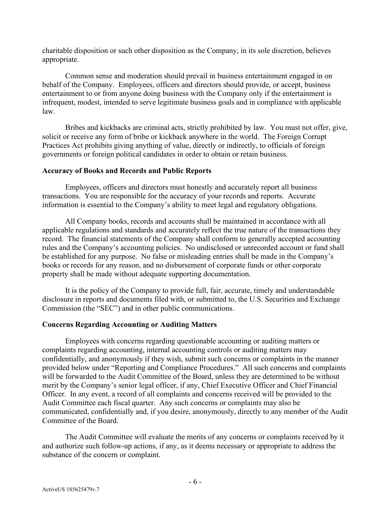charitable disposition or such other disposition as the Company, in its sole discretion, believes appropriate.

Common sense and moderation should prevail in business entertainment engaged in on behalf of the Company. Employees, officers and directors should provide, or accept, business entertainment to or from anyone doing business with the Company only if the entertainment is infrequent, modest, intended to serve legitimate business goals and in compliance with applicable law.

Bribes and kickbacks are criminal acts, strictly prohibited by law. You must not offer, give, solicit or receive any form of bribe or kickback anywhere in the world. The Foreign Corrupt Practices Act prohibits giving anything of value, directly or indirectly, to officials of foreign governments or foreign political candidates in order to obtain or retain business.

#### **Accuracy of Books and Records and Public Reports**

Employees, officers and directors must honestly and accurately report all business transactions. You are responsible for the accuracy of your records and reports. Accurate information is essential to the Company's ability to meet legal and regulatory obligations.

All Company books, records and accounts shall be maintained in accordance with all applicable regulations and standards and accurately reflect the true nature of the transactions they record. The financial statements of the Company shall conform to generally accepted accounting rules and the Company's accounting policies. No undisclosed or unrecorded account or fund shall be established for any purpose. No false or misleading entries shall be made in the Company's books or records for any reason, and no disbursement of corporate funds or other corporate property shall be made without adequate supporting documentation.

It is the policy of the Company to provide full, fair, accurate, timely and understandable disclosure in reports and documents filed with, or submitted to, the U.S. Securities and Exchange Commission (the "SEC") and in other public communications.

#### **Concerns Regarding Accounting or Auditing Matters**

Employees with concerns regarding questionable accounting or auditing matters or complaints regarding accounting, internal accounting controls or auditing matters may confidentially, and anonymously if they wish, submit such concerns or complaints in the manner provided below under "Reporting and Compliance Procedures." All such concerns and complaints will be forwarded to the Audit Committee of the Board, unless they are determined to be without merit by the Company's senior legal officer, if any, Chief Executive Officer and Chief Financial Officer. In any event, a record of all complaints and concerns received will be provided to the Audit Committee each fiscal quarter. Any such concerns or complaints may also be communicated, confidentially and, if you desire, anonymously, directly to any member of the Audit Committee of the Board.

The Audit Committee will evaluate the merits of any concerns or complaints received by it and authorize such follow-up actions, if any, as it deems necessary or appropriate to address the substance of the concern or complaint.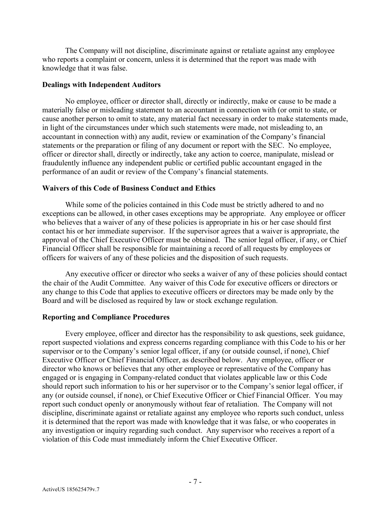The Company will not discipline, discriminate against or retaliate against any employee who reports a complaint or concern, unless it is determined that the report was made with knowledge that it was false.

#### **Dealings with Independent Auditors**

No employee, officer or director shall, directly or indirectly, make or cause to be made a materially false or misleading statement to an accountant in connection with (or omit to state, or cause another person to omit to state, any material fact necessary in order to make statements made, in light of the circumstances under which such statements were made, not misleading to, an accountant in connection with) any audit, review or examination of the Company's financial statements or the preparation or filing of any document or report with the SEC. No employee, officer or director shall, directly or indirectly, take any action to coerce, manipulate, mislead or fraudulently influence any independent public or certified public accountant engaged in the performance of an audit or review of the Company's financial statements.

#### **Waivers of this Code of Business Conduct and Ethics**

While some of the policies contained in this Code must be strictly adhered to and no exceptions can be allowed, in other cases exceptions may be appropriate. Any employee or officer who believes that a waiver of any of these policies is appropriate in his or her case should first contact his or her immediate supervisor. If the supervisor agrees that a waiver is appropriate, the approval of the Chief Executive Officer must be obtained. The senior legal officer, if any, or Chief Financial Officer shall be responsible for maintaining a record of all requests by employees or officers for waivers of any of these policies and the disposition of such requests.

Any executive officer or director who seeks a waiver of any of these policies should contact the chair of the Audit Committee. Any waiver of this Code for executive officers or directors or any change to this Code that applies to executive officers or directors may be made only by the Board and will be disclosed as required by law or stock exchange regulation.

#### **Reporting and Compliance Procedures**

Every employee, officer and director has the responsibility to ask questions, seek guidance, report suspected violations and express concerns regarding compliance with this Code to his or her supervisor or to the Company's senior legal officer, if any (or outside counsel, if none), Chief Executive Officer or Chief Financial Officer, as described below. Any employee, officer or director who knows or believes that any other employee or representative of the Company has engaged or is engaging in Company-related conduct that violates applicable law or this Code should report such information to his or her supervisor or to the Company's senior legal officer, if any (or outside counsel, if none), or Chief Executive Officer or Chief Financial Officer. You may report such conduct openly or anonymously without fear of retaliation. The Company will not discipline, discriminate against or retaliate against any employee who reports such conduct, unless it is determined that the report was made with knowledge that it was false, or who cooperates in any investigation or inquiry regarding such conduct. Any supervisor who receives a report of a violation of this Code must immediately inform the Chief Executive Officer.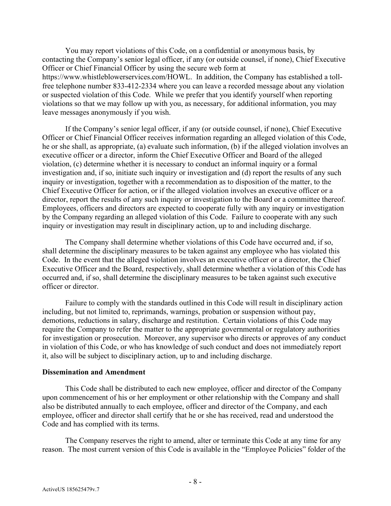You may report violations of this Code, on a confidential or anonymous basis, by contacting the Company's senior legal officer, if any (or outside counsel, if none), Chief Executive Officer or Chief Financial Officer by using the secure web form at https://www.whistleblowerservices.com/HOWL. In addition, the Company has established a tollfree telephone number 833-412-2334 where you can leave a recorded message about any violation or suspected violation of this Code. While we prefer that you identify yourself when reporting violations so that we may follow up with you, as necessary, for additional information, you may leave messages anonymously if you wish.

If the Company's senior legal officer, if any (or outside counsel, if none), Chief Executive Officer or Chief Financial Officer receives information regarding an alleged violation of this Code, he or she shall, as appropriate, (a) evaluate such information, (b) if the alleged violation involves an executive officer or a director, inform the Chief Executive Officer and Board of the alleged violation, (c) determine whether it is necessary to conduct an informal inquiry or a formal investigation and, if so, initiate such inquiry or investigation and (d) report the results of any such inquiry or investigation, together with a recommendation as to disposition of the matter, to the Chief Executive Officer for action, or if the alleged violation involves an executive officer or a director, report the results of any such inquiry or investigation to the Board or a committee thereof. Employees, officers and directors are expected to cooperate fully with any inquiry or investigation by the Company regarding an alleged violation of this Code. Failure to cooperate with any such inquiry or investigation may result in disciplinary action, up to and including discharge.

The Company shall determine whether violations of this Code have occurred and, if so, shall determine the disciplinary measures to be taken against any employee who has violated this Code. In the event that the alleged violation involves an executive officer or a director, the Chief Executive Officer and the Board, respectively, shall determine whether a violation of this Code has occurred and, if so, shall determine the disciplinary measures to be taken against such executive officer or director.

Failure to comply with the standards outlined in this Code will result in disciplinary action including, but not limited to, reprimands, warnings, probation or suspension without pay, demotions, reductions in salary, discharge and restitution. Certain violations of this Code may require the Company to refer the matter to the appropriate governmental or regulatory authorities for investigation or prosecution. Moreover, any supervisor who directs or approves of any conduct in violation of this Code, or who has knowledge of such conduct and does not immediately report it, also will be subject to disciplinary action, up to and including discharge.

#### **Dissemination and Amendment**

This Code shall be distributed to each new employee, officer and director of the Company upon commencement of his or her employment or other relationship with the Company and shall also be distributed annually to each employee, officer and director of the Company, and each employee, officer and director shall certify that he or she has received, read and understood the Code and has complied with its terms.

The Company reserves the right to amend, alter or terminate this Code at any time for any reason. The most current version of this Code is available in the "Employee Policies" folder of the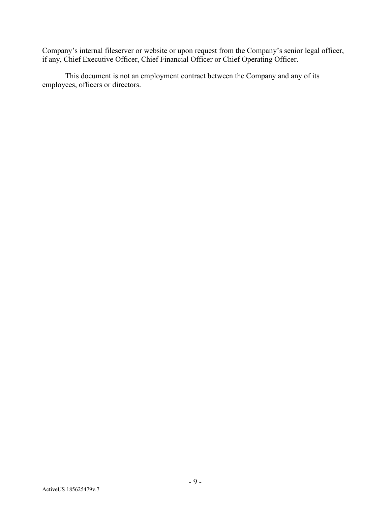Company's internal fileserver or website or upon request from the Company's senior legal officer, if any, Chief Executive Officer, Chief Financial Officer or Chief Operating Officer.

This document is not an employment contract between the Company and any of its employees, officers or directors.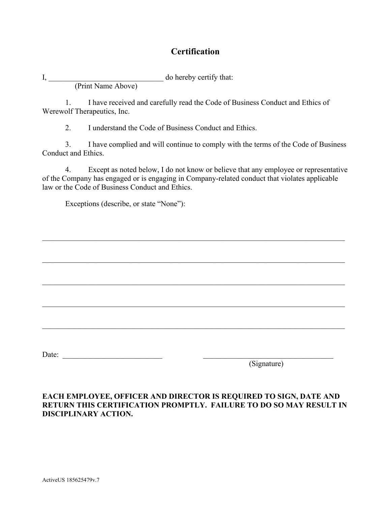# **Certification**

I, \_\_\_\_\_\_\_\_\_\_\_\_\_\_\_\_\_\_\_\_\_\_\_\_\_\_\_\_\_\_ do hereby certify that:

(Print Name Above)

1. I have received and carefully read the Code of Business Conduct and Ethics of Werewolf Therapeutics, Inc.

2. I understand the Code of Business Conduct and Ethics.

3. I have complied and will continue to comply with the terms of the Code of Business Conduct and Ethics.

4. Except as noted below, I do not know or believe that any employee or representative of the Company has engaged or is engaging in Company-related conduct that violates applicable law or the Code of Business Conduct and Ethics.

Exceptions (describe, or state "None"):

Date: \_\_\_\_\_\_\_\_\_\_\_\_\_\_\_\_\_\_\_\_\_\_\_\_\_\_ \_\_\_\_\_\_\_\_\_\_\_\_\_\_\_\_\_\_\_\_\_\_\_\_\_\_\_\_\_\_\_\_\_\_

(Signature)

# **EACH EMPLOYEE, OFFICER AND DIRECTOR IS REQUIRED TO SIGN, DATE AND RETURN THIS CERTIFICATION PROMPTLY. FAILURE TO DO SO MAY RESULT IN DISCIPLINARY ACTION.**

\_\_\_\_\_\_\_\_\_\_\_\_\_\_\_\_\_\_\_\_\_\_\_\_\_\_\_\_\_\_\_\_\_\_\_\_\_\_\_\_\_\_\_\_\_\_\_\_\_\_\_\_\_\_\_\_\_\_\_\_\_\_\_\_\_\_\_\_\_\_\_\_\_\_\_\_\_\_\_